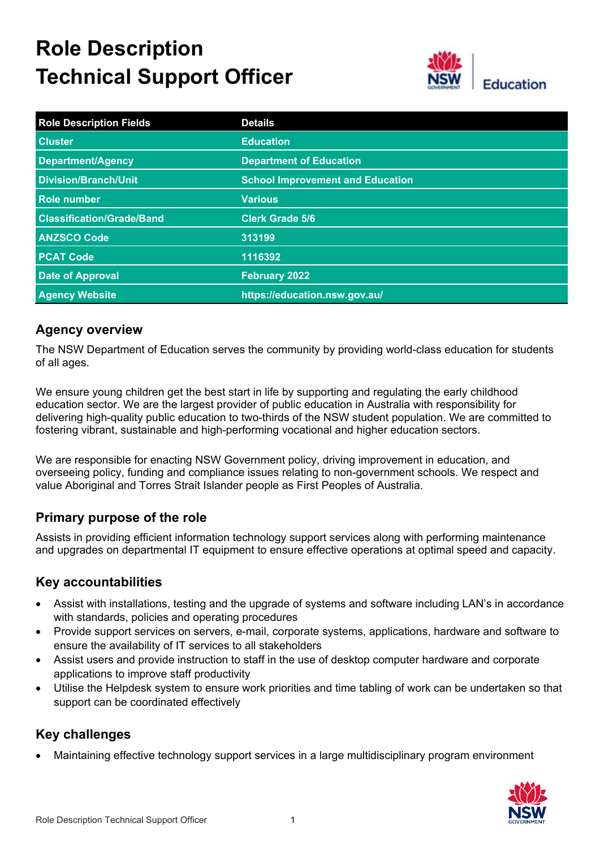# **Role Description Technical Support Officer**



| <b>Role Description Fields</b>   | <b>Details</b>                          |
|----------------------------------|-----------------------------------------|
| <b>Cluster</b>                   | <b>Education</b>                        |
| <b>Department/Agency</b>         | <b>Department of Education</b>          |
| <b>Division/Branch/Unit</b>      | <b>School Improvement and Education</b> |
| Role number                      | <b>Various</b>                          |
| <b>Classification/Grade/Band</b> | <b>Clerk Grade 5/6</b>                  |
| <b>ANZSCO Code</b>               | 313199                                  |
| <b>PCAT Code</b>                 | 1116392                                 |
| <b>Date of Approval</b>          | <b>February 2022</b>                    |
| <b>Agency Website</b>            | https://education.nsw.gov.au/           |

## **Agency overview**

The NSW Department of Education serves the community by providing world-class education for students of all ages.

We ensure young children get the best start in life by supporting and regulating the early childhood education sector. We are the largest provider of public education in Australia with responsibility for delivering high-quality public education to two-thirds of the NSW student population. We are committed to fostering vibrant, sustainable and high-performing vocational and higher education sectors.

We are responsible for enacting NSW Government policy, driving improvement in education, and overseeing policy, funding and compliance issues relating to non-government schools. We respect and value Aboriginal and Torres Strait Islander people as First Peoples of Australia.

# **Primary purpose of the role**

Assists in providing efficient information technology support services along with performing maintenance and upgrades on departmental IT equipment to ensure effective operations at optimal speed and capacity.

#### **Key accountabilities**

- Assist with installations, testing and the upgrade of systems and software including LAN's in accordance with standards, policies and operating procedures
- Provide support services on servers, e-mail, corporate systems, applications, hardware and software to ensure the availability of IT services to all stakeholders
- Assist users and provide instruction to staff in the use of desktop computer hardware and corporate applications to improve staff productivity
- Utilise the Helpdesk system to ensure work priorities and time tabling of work can be undertaken so that support can be coordinated effectively

# **Key challenges**

• Maintaining effective technology support services in a large multidisciplinary program environment

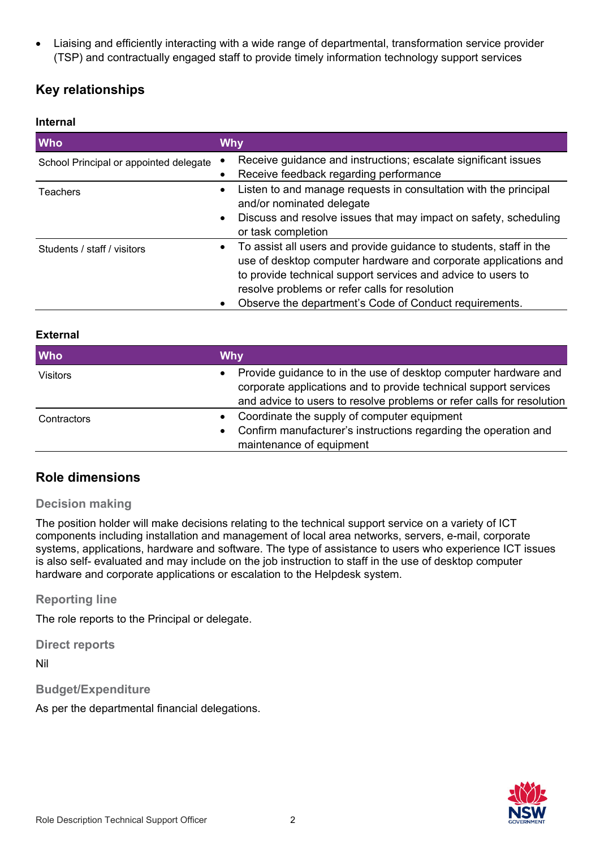• Liaising and efficiently interacting with a wide range of departmental, transformation service provider (TSP) and contractually engaged staff to provide timely information technology support services

# **Key relationships**

#### **Internal**

| <b>Who</b>                             | <b>Why</b>                                                                                                                                                                                                                                                                                                        |
|----------------------------------------|-------------------------------------------------------------------------------------------------------------------------------------------------------------------------------------------------------------------------------------------------------------------------------------------------------------------|
| School Principal or appointed delegate | Receive guidance and instructions; escalate significant issues<br>Receive feedback regarding performance                                                                                                                                                                                                          |
| Teachers                               | Listen to and manage requests in consultation with the principal<br>and/or nominated delegate<br>Discuss and resolve issues that may impact on safety, scheduling<br>$\bullet$<br>or task completion                                                                                                              |
| Students / staff / visitors            | To assist all users and provide guidance to students, staff in the<br>use of desktop computer hardware and corporate applications and<br>to provide technical support services and advice to users to<br>resolve problems or refer calls for resolution<br>Observe the department's Code of Conduct requirements. |

#### **External**

| <b>Who</b>      | <b>Why</b>                                                                                                                                                                                                   |
|-----------------|--------------------------------------------------------------------------------------------------------------------------------------------------------------------------------------------------------------|
| <b>Visitors</b> | Provide guidance to in the use of desktop computer hardware and<br>corporate applications and to provide technical support services<br>and advice to users to resolve problems or refer calls for resolution |
| Contractors     | Coordinate the supply of computer equipment<br>Confirm manufacturer's instructions regarding the operation and<br>$\bullet$<br>maintenance of equipment                                                      |

#### **Role dimensions**

#### **Decision making**

The position holder will make decisions relating to the technical support service on a variety of ICT components including installation and management of local area networks, servers, e-mail, corporate systems, applications, hardware and software. The type of assistance to users who experience ICT issues is also self- evaluated and may include on the job instruction to staff in the use of desktop computer hardware and corporate applications or escalation to the Helpdesk system.

**Reporting line**

The role reports to the Principal or delegate.

**Direct reports**

Nil

**Budget/Expenditure**

As per the departmental financial delegations.

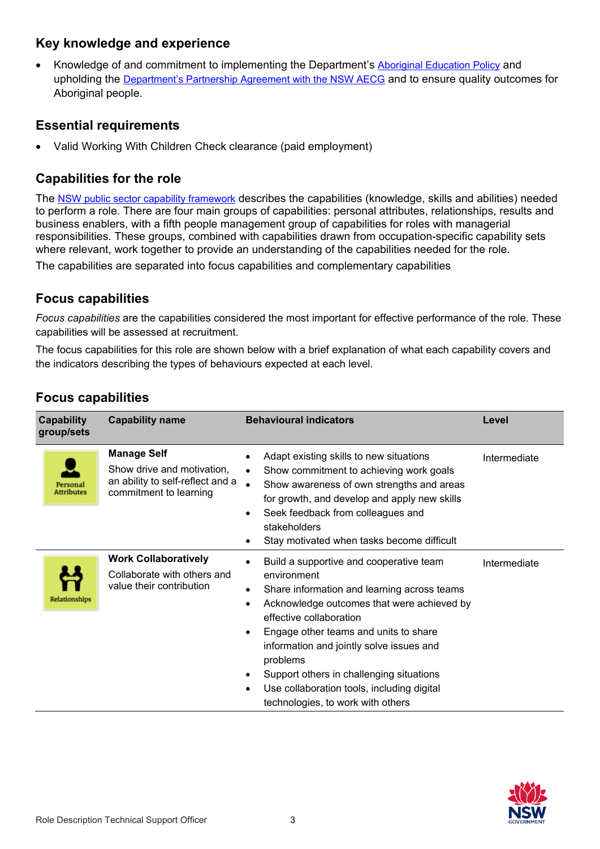## **Key knowledge and experience**

• Knowledge of and commitment to implementing the Department's [Aboriginal Education Policy](https://policies.education.nsw.gov.au/policy-library/policies/aboriginal-education-and-training-policy?refid=285843) and upholding the [Department's Partnership Agreement with the NSW AECG](https://education.nsw.gov.au/content/dam/main-education/teaching-and-learning/aec/media/documents/partnershipagreement.pdf) and to ensure quality outcomes for Aboriginal people.

#### **Essential requirements**

• Valid Working With Children Check clearance (paid employment)

# **Capabilities for the role**

The [NSW public sector capability framework](https://www.psc.nsw.gov.au/workforce-management/capability-framework/the-capability-framework) describes the capabilities (knowledge, skills and abilities) needed to perform a role. There are four main groups of capabilities: personal attributes, relationships, results and business enablers, with a fifth people management group of capabilities for roles with managerial responsibilities. These groups, combined with capabilities drawn from occupation-specific capability sets where relevant, work together to provide an understanding of the capabilities needed for the role.

The capabilities are separated into focus capabilities and complementary capabilities

## **Focus capabilities**

*Focus capabilities* are the capabilities considered the most important for effective performance of the role. These capabilities will be assessed at recruitment.

The focus capabilities for this role are shown below with a brief explanation of what each capability covers and the indicators describing the types of behaviours expected at each level.

| <b>Capability</b><br>group/sets | <b>Capability name</b>                                                                                         | <b>Behavioural indicators</b>                                                                                                                                                                                                                                                                                                                                                                                                                              | Level        |
|---------------------------------|----------------------------------------------------------------------------------------------------------------|------------------------------------------------------------------------------------------------------------------------------------------------------------------------------------------------------------------------------------------------------------------------------------------------------------------------------------------------------------------------------------------------------------------------------------------------------------|--------------|
| Personal<br><b>Attributes</b>   | <b>Manage Self</b><br>Show drive and motivation,<br>an ability to self-reflect and a<br>commitment to learning | Adapt existing skills to new situations<br>Show commitment to achieving work goals<br>$\bullet$<br>$\bullet$<br>Show awareness of own strengths and areas<br>for growth, and develop and apply new skills<br>Seek feedback from colleagues and<br>٠<br>stakeholders<br>Stay motivated when tasks become difficult                                                                                                                                          | Intermediate |
| Relationships                   | <b>Work Collaboratively</b><br>Collaborate with others and<br>value their contribution                         | Build a supportive and cooperative team<br>environment<br>Share information and learning across teams<br>$\bullet$<br>Acknowledge outcomes that were achieved by<br>$\bullet$<br>effective collaboration<br>Engage other teams and units to share<br>$\bullet$<br>information and jointly solve issues and<br>problems<br>Support others in challenging situations<br>Use collaboration tools, including digital<br>٠<br>technologies, to work with others | Intermediate |

# **Focus capabilities**

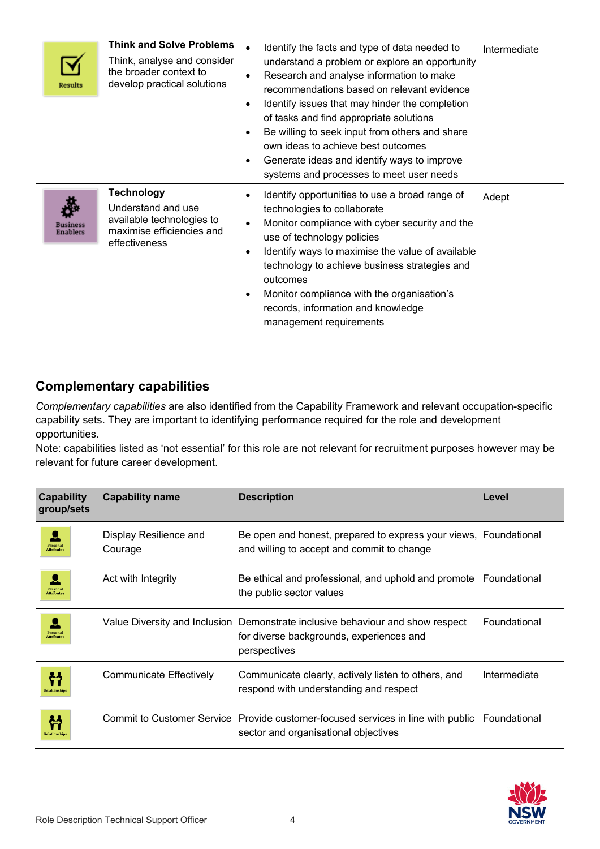| Results                     | <b>Think and Solve Problems</b><br>Think, analyse and consider<br>the broader context to<br>develop practical solutions | Identify the facts and type of data needed to<br>understand a problem or explore an opportunity<br>Research and analyse information to make<br>recommendations based on relevant evidence<br>Identify issues that may hinder the completion<br>$\bullet$<br>of tasks and find appropriate solutions<br>Be willing to seek input from others and share<br>own ideas to achieve best outcomes<br>Generate ideas and identify ways to improve<br>$\bullet$<br>systems and processes to meet user needs | Intermediate |
|-----------------------------|-------------------------------------------------------------------------------------------------------------------------|-----------------------------------------------------------------------------------------------------------------------------------------------------------------------------------------------------------------------------------------------------------------------------------------------------------------------------------------------------------------------------------------------------------------------------------------------------------------------------------------------------|--------------|
| Business<br><b>Enablers</b> | <b>Technology</b><br>Understand and use<br>available technologies to<br>maximise efficiencies and<br>effectiveness      | Identify opportunities to use a broad range of<br>technologies to collaborate<br>Monitor compliance with cyber security and the<br>use of technology policies<br>Identify ways to maximise the value of available<br>$\bullet$<br>technology to achieve business strategies and<br>outcomes<br>Monitor compliance with the organisation's<br>records, information and knowledge<br>management requirements                                                                                          | Adept        |

# **Complementary capabilities**

*Complementary capabilities* are also identified from the Capability Framework and relevant occupation-specific capability sets. They are important to identifying performance required for the role and development opportunities.

Note: capabilities listed as 'not essential' for this role are not relevant for recruitment purposes however may be relevant for future career development.

| Capability<br>group/sets     | <b>Capability name</b>            | <b>Description</b>                                                                                                                         | Level        |
|------------------------------|-----------------------------------|--------------------------------------------------------------------------------------------------------------------------------------------|--------------|
| Persona<br><b>Attributes</b> | Display Resilience and<br>Courage | Be open and honest, prepared to express your views, Foundational<br>and willing to accept and commit to change                             |              |
| Persona<br><b>Attribute</b>  | Act with Integrity                | Be ethical and professional, and uphold and promote Foundational<br>the public sector values                                               |              |
| Persona<br><b>Attributes</b> |                                   | Value Diversity and Inclusion Demonstrate inclusive behaviour and show respect<br>for diverse backgrounds, experiences and<br>perspectives | Foundational |
| Relationship                 | Communicate Effectively           | Communicate clearly, actively listen to others, and<br>respond with understanding and respect                                              | Intermediate |
| <b>Relationships</b>         |                                   | Commit to Customer Service Provide customer-focused services in line with public<br>sector and organisational objectives                   | Foundational |